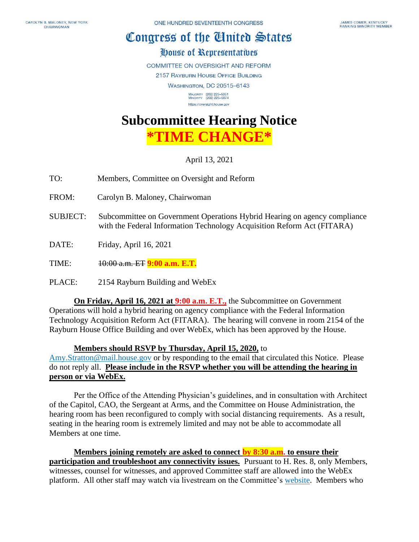## Congress of the Cluited States

## House of Representatives

**COMMITTEE ON OVERSIGHT AND REFORM** 

2157 RAYBURN HOUSE OFFICE BUILDING

**WASHINGTON, DC 20515-6143** 

MAJORITY (202) 225-5051<br>MINORITY (202) 225-5074 https://oversight.house.gov

## **Subcommittee Hearing Notice**

**\*TIME CHANGE\***

April 13, 2021

- TO: Members, Committee on Oversight and Reform
- FROM: Carolyn B. Maloney, Chairwoman
- SUBJECT: Subcommittee on Government Operations Hybrid Hearing on agency compliance with the Federal Information Technology Acquisition Reform Act (FITARA)
- DATE: Friday, April 16, 2021
- TIME: 10:00 a.m. ET **9:00 a.m. E.T.**
- PLACE: 2154 Rayburn Building and WebEx

**On Friday, April 16, 2021 at 9:00 a.m. E.T.,** the Subcommittee on Government Operations will hold a hybrid hearing on agency compliance with the Federal Information Technology Acquisition Reform Act (FITARA). The hearing will convene in room 2154 of the Rayburn House Office Building and over WebEx, which has been approved by the House.

## **Members should RSVP by Thursday, April 15, 2020,** to

[Amy.Stratton@mail.house.gov](mailto:Amy.Stratton@mail.house.gov) or by responding to the email that circulated this Notice. Please do not reply all. **Please include in the RSVP whether you will be attending the hearing in person or via WebEx.** 

Per the Office of the Attending Physician's guidelines, and in consultation with Architect of the Capitol, CAO, the Sergeant at Arms, and the Committee on House Administration, the hearing room has been reconfigured to comply with social distancing requirements. As a result, seating in the hearing room is extremely limited and may not be able to accommodate all Members at one time.

**Members joining remotely are asked to connect by 8:30 a.m. to ensure their participation and troubleshoot any connectivity issues.** Pursuant to H. Res. 8, only Members, witnesses, counsel for witnesses, and approved Committee staff are allowed into the WebEx platform. All other staff may watch via livestream on the Committee's [website.](https://oversight.house.gov/legislation/hearings) Members who